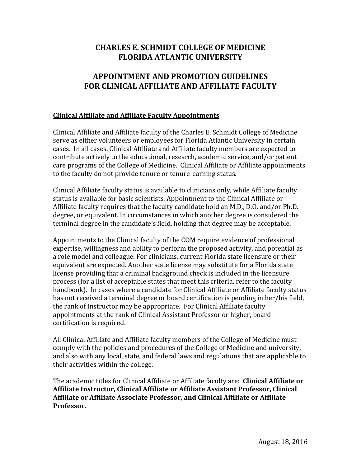# **CHARLES E. SCHMIDT COLLEGE OF MEDICINE FLORIDA ATLANTIC UNIVERSITY**

# **APPOINTMENT AND PROMOTION GUIDELINES FOR CLINICAL AFFILIATE AND AFFILIATE FACULTY**

## **Clinical Affiliate and Affiliate Faculty Appointments**

Clinical Affiliate and Affiliate faculty of the Charles E. Schmidt College of Medicine serve as either volunteers or employees for Florida Atlantic University in certain cases. In all cases, Clinical Affiliate and Affiliate faculty members are expected to contribute actively to the educational, research, academic service, and/or patient care programs of the College of Medicine. Clinical Affiliate or Affiliate appointments to the faculty do not provide tenure or tenure-earning status.

Clinical Affiliate faculty status is available to clinicians only, while Affiliate faculty status is available for basic scientists. Appointment to the Clinical Affiliate or Affiliate faculty requires that the faculty candidate hold an M.D., D.O. and/or Ph.D. degree, or equivalent. In circumstances in which another degree is considered the terminal degree in the candidate's field, holding that degree may be acceptable.

Appointments to the Clinical faculty of the COM require evidence of professional expertise, willingness and ability to perform the proposed activity, and potential as a role model and colleague. For clinicians, current Florida state licensure or their equivalent are expected. Another state license may substitute for a Florida state license providing that a criminal background check is included in the licensure process (for a list of acceptable states that meet this criteria, refer to the faculty handbook). In cases where a candidate for Clinical Affiliate or Affiliate faculty status has not received a terminal degree or board certification is pending in her/his field, the rank of Instructor may be appropriate. For Clinical Affiliate faculty appointments at the rank of Clinical Assistant Professor or higher, board certification is required.

All Clinical Affiliate and Affiliate faculty members of the College of Medicine must comply with the policies and procedures of the College of Medicine and university, and also with any local, state, and federal laws and regulations that are applicable to their activities within the college.

The academic titles for Clinical Affiliate or Affiliate faculty are: **Clinical Affiliate or Affiliate Instructor, Clinical Affiliate or Affiliate Assistant Professor, Clinical Affiliate or Affiliate Associate Professor, and Clinical Affiliate or Affiliate Professor.**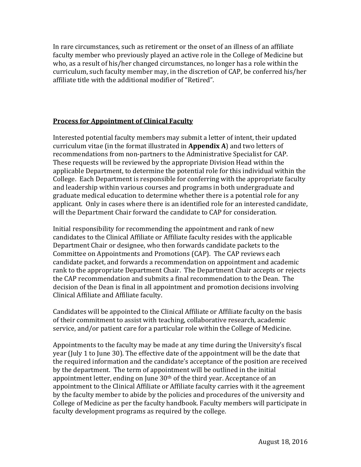In rare circumstances, such as retirement or the onset of an illness of an affiliate faculty member who previously played an active role in the College of Medicine but who, as a result of his/her changed circumstances, no longer has a role within the curriculum, such faculty member may, in the discretion of CAP, be conferred his/her affiliate title with the additional modifier of "Retired".

# **Process for Appointment of Clinical Faculty**

Interested potential faculty members may submit a letter of intent, their updated curriculum vitae (in the format illustrated in **Appendix A**) and two letters of recommendations from non-partners to the Administrative Specialist for CAP. These requests will be reviewed by the appropriate Division Head within the applicable Department, to determine the potential role for this individual within the College. Each Department is responsible for conferring with the appropriate faculty and leadership within various courses and programs in both undergraduate and graduate medical education to determine whether there is a potential role for any applicant. Only in cases where there is an identified role for an interested candidate, will the Department Chair forward the candidate to CAP for consideration.

Initial responsibility for recommending the appointment and rank of new candidates to the Clinical Affiliate or Affiliate faculty resides with the applicable Department Chair or designee, who then forwards candidate packets to the Committee on Appointments and Promotions (CAP). The CAP reviews each candidate packet, and forwards a recommendation on appointment and academic rank to the appropriate Department Chair. The Department Chair accepts or rejects the CAP recommendation and submits a final recommendation to the Dean. The decision of the Dean is final in all appointment and promotion decisions involving Clinical Affiliate and Affiliate faculty.

Candidates will be appointed to the Clinical Affiliate or Affiliate faculty on the basis of their commitment to assist with teaching, collaborative research, academic service, and/or patient care for a particular role within the College of Medicine.

Appointments to the faculty may be made at any time during the University's fiscal year (July 1 to June 30). The effective date of the appointment will be the date that the required information and the candidate's acceptance of the position are received by the department. The term of appointment will be outlined in the initial appointment letter, ending on June  $30<sup>th</sup>$  of the third year. Acceptance of an appointment to the Clinical Affiliate or Affiliate faculty carries with it the agreement by the faculty member to abide by the policies and procedures of the university and College of Medicine as per the faculty handbook. Faculty members will participate in faculty development programs as required by the college.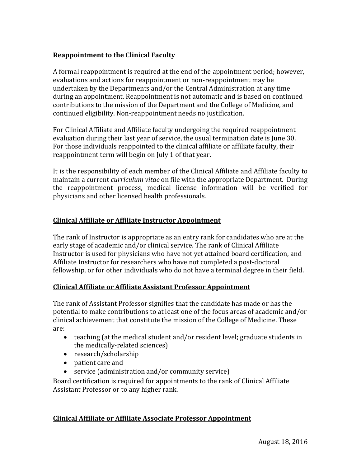# **Reappointment to the Clinical Faculty**

A formal reappointment is required at the end of the appointment period; however, evaluations and actions for reappointment or non-reappointment may be undertaken by the Departments and/or the Central Administration at any time during an appointment. Reappointment is not automatic and is based on continued contributions to the mission of the Department and the College of Medicine, and continued eligibility. Non-reappointment needs no justification.

For Clinical Affiliate and Affiliate faculty undergoing the required reappointment evaluation during their last year of service, the usual termination date is June 30. For those individuals reappointed to the clinical affiliate or affiliate faculty, their reappointment term will begin on July 1 of that year.

It is the responsibility of each member of the Clinical Affiliate and Affiliate faculty to maintain a current *curriculum vitae* on file with the appropriate Department. During the reappointment process, medical license information will be verified for physicians and other licensed health professionals.

## **Clinical Affiliate or Affiliate Instructor Appointment**

The rank of Instructor is appropriate as an entry rank for candidates who are at the early stage of academic and/or clinical service. The rank of Clinical Affiliate Instructor is used for physicians who have not yet attained board certification, and Affiliate Instructor for researchers who have not completed a post-doctoral fellowship, or for other individuals who do not have a terminal degree in their field.

## **Clinical Affiliate or Affiliate Assistant Professor Appointment**

The rank of Assistant Professor signifies that the candidate has made or has the potential to make contributions to at least one of the focus areas of academic and/or clinical achievement that constitute the mission of the College of Medicine. These are: 

- teaching (at the medical student and/or resident level; graduate students in the medically-related sciences)
- research/scholarship
- patient care and
- $\bullet$  service (administration and/or community service)

Board certification is required for appointments to the rank of Clinical Affiliate Assistant Professor or to any higher rank.

## **Clinical Affiliate or Affiliate Associate Professor Appointment**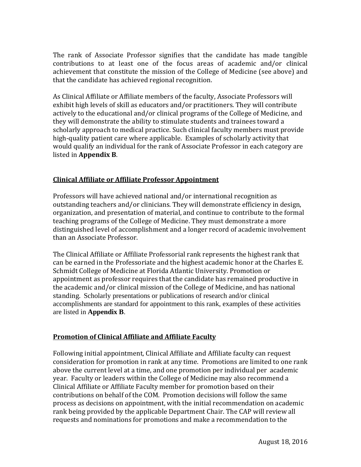The rank of Associate Professor signifies that the candidate has made tangible contributions to at least one of the focus areas of academic and/or clinical achievement that constitute the mission of the College of Medicine (see above) and that the candidate has achieved regional recognition.

As Clinical Affiliate or Affiliate members of the faculty, Associate Professors will exhibit high levels of skill as educators and/or practitioners. They will contribute actively to the educational and/or clinical programs of the College of Medicine, and they will demonstrate the ability to stimulate students and trainees toward a scholarly approach to medical practice. Such clinical faculty members must provide high-quality patient care where applicable. Examples of scholarly activity that would qualify an individual for the rank of Associate Professor in each category are listed in **Appendix B.** 

## **Clinical Affiliate or Affiliate Professor Appointment**

Professors will have achieved national and/or international recognition as outstanding teachers and/or clinicians. They will demonstrate efficiency in design, organization, and presentation of material, and continue to contribute to the formal teaching programs of the College of Medicine. They must demonstrate a more distinguished level of accomplishment and a longer record of academic involvement than an Associate Professor.

The Clinical Affiliate or Affiliate Professorial rank represents the highest rank that can be earned in the Professoriate and the highest academic honor at the Charles E. Schmidt College of Medicine at Florida Atlantic University. Promotion or appointment as professor requires that the candidate has remained productive in the academic and/or clinical mission of the College of Medicine, and has national standing. Scholarly presentations or publications of research and/or clinical accomplishments are standard for appointment to this rank, examples of these activities are listed in **Appendix B**.

## **Promotion of Clinical Affiliate and Affiliate Faculty**

Following initial appointment, Clinical Affiliate and Affiliate faculty can request consideration for promotion in rank at any time. Promotions are limited to one rank above the current level at a time, and one promotion per individual per academic year. Faculty or leaders within the College of Medicine may also recommend a Clinical Affiliate or Affiliate Faculty member for promotion based on their contributions on behalf of the COM. Promotion decisions will follow the same process as decisions on appointment, with the initial recommendation on academic rank being provided by the applicable Department Chair. The CAP will review all requests and nominations for promotions and make a recommendation to the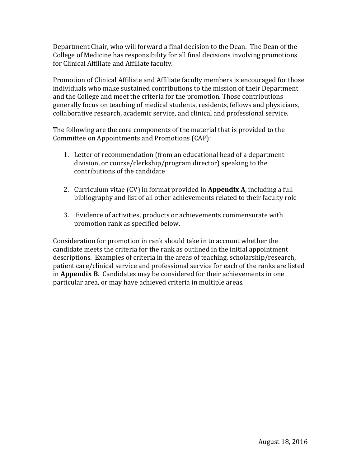Department Chair, who will forward a final decision to the Dean. The Dean of the College of Medicine has responsibility for all final decisions involving promotions for Clinical Affiliate and Affiliate faculty.

Promotion of Clinical Affiliate and Affiliate faculty members is encouraged for those individuals who make sustained contributions to the mission of their Department and the College and meet the criteria for the promotion. Those contributions generally focus on teaching of medical students, residents, fellows and physicians, collaborative research, academic service, and clinical and professional service.

The following are the core components of the material that is provided to the Committee on Appointments and Promotions (CAP):

- 1. Letter of recommendation (from an educational head of a department division, or course/clerkship/program director) speaking to the contributions of the candidate
- 2. Curriculum vitae (CV) in format provided in **Appendix A**, including a full bibliography and list of all other achievements related to their faculty role
- 3. Evidence of activities, products or achievements commensurate with promotion rank as specified below.

Consideration for promotion in rank should take in to account whether the candidate meets the criteria for the rank as outlined in the initial appointment descriptions. Examples of criteria in the areas of teaching, scholarship/research, patient care/clinical service and professional service for each of the ranks are listed in **Appendix B**. Candidates may be considered for their achievements in one particular area, or may have achieved criteria in multiple areas.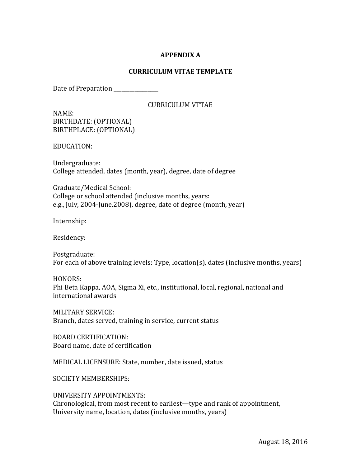## **APPENDIX A**

## **CURRICULUM VITAE TEMPLATE**

Date of Preparation \_\_\_\_\_\_\_\_\_\_\_\_\_\_\_

#### CURRICULUM VTTAE

NAME: BIRTHDATE: (OPTIONAL) BIRTHPLACE: (OPTIONAL)

EDUCATION: 

Undergraduate: College attended, dates (month, year), degree, date of degree

Graduate/Medical School: College or school attended (inclusive months, years: e.g., July, 2004-June, 2008), degree, date of degree (month, year)

Internship: 

Residency: 

Postgraduate: For each of above training levels: Type, location(s), dates (inclusive months, years)

HONORS: Phi Beta Kappa, AOA, Sigma Xi, etc., institutional, local, regional, national and international awards

MILITARY SERVICE: Branch, dates served, training in service, current status

BOARD CERTIFICATION: Board name, date of certification

MEDICAL LICENSURE: State, number, date issued, status

SOCIETY MEMBERSHIPS:

UNIVERSITY APPOINTMENTS: Chronological, from most recent to earliest—type and rank of appointment, University name, location, dates (inclusive months, years)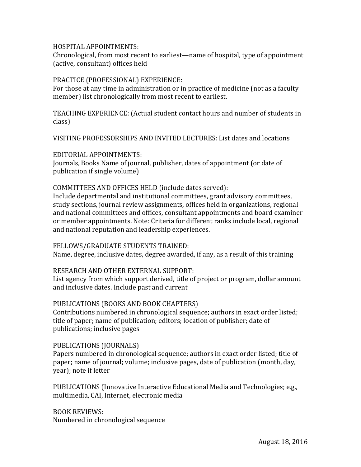#### HOSPITAL APPOINTMENTS:

Chronological, from most recent to earliest—name of hospital, type of appointment (active, consultant) offices held

#### PRACTICE (PROFESSIONAL) EXPERIENCE:

For those at any time in administration or in practice of medicine (not as a faculty member) list chronologically from most recent to earliest.

TEACHING EXPERIENCE: (Actual student contact hours and number of students in class) 

VISITING PROFESSORSHIPS AND INVITED LECTURES: List dates and locations

EDITORIAL APPOINTMENTS: Journals, Books Name of journal, publisher, dates of appointment (or date of publication if single volume)

#### COMMITTEES AND OFFICES HELD (include dates served):

Include departmental and institutional committees, grant advisory committees, study sections, journal review assignments, offices held in organizations, regional and national committees and offices, consultant appointments and board examiner or member appointments. Note: Criteria for different ranks include local, regional and national reputation and leadership experiences.

#### FELLOWS/GRADUATE STUDENTS TRAINED:

Name, degree, inclusive dates, degree awarded, if any, as a result of this training

#### RESEARCH AND OTHER EXTERNAL SUPPORT:

List agency from which support derived, title of project or program, dollar amount and inclusive dates. Include past and current

## PUBLICATIONS (BOOKS AND BOOK CHAPTERS)

Contributions numbered in chronological sequence; authors in exact order listed; title of paper; name of publication; editors; location of publisher; date of publications; inclusive pages

## PUBLICATIONS (JOURNALS)

Papers numbered in chronological sequence; authors in exact order listed; title of paper; name of journal; volume; inclusive pages, date of publication (month, day, year); note if letter

PUBLICATIONS (Innovative Interactive Educational Media and Technologies; e.g., multimedia, CAI, Internet, electronic media

BOOK REVIEWS: Numbered in chronological sequence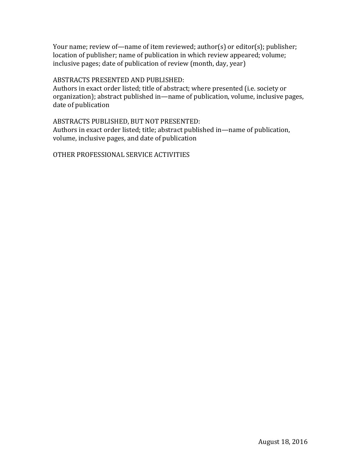Your name; review of—name of item reviewed;  $author(s)$  or editor(s);  $public$ ; location of publisher; name of publication in which review appeared; volume; inclusive pages; date of publication of review (month, day, year)

#### ABSTRACTS PRESENTED AND PUBLISHED:

Authors in exact order listed; title of abstract; where presented (i.e. society or organization); abstract published in—name of publication, volume, inclusive pages, date of publication

## ABSTRACTS PUBLISHED, BUT NOT PRESENTED:

Authors in exact order listed; title; abstract published in—name of publication, volume, inclusive pages, and date of publication

OTHER PROFESSIONAL SERVICE ACTIVITIES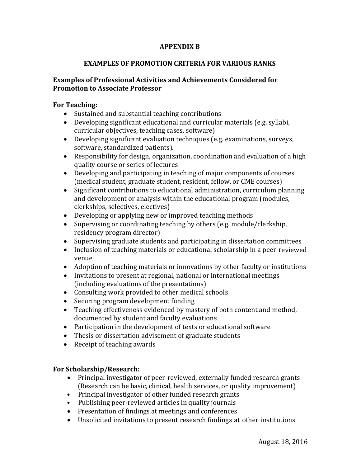# **APPENDIX B**

## **EXAMPLES OF PROMOTION CRITERIA FOR VARIOUS RANKS**

## **Examples of Professional Activities and Achievements Considered for Promotion to Associate Professor**

## **For Teaching:**

- Sustained and substantial teaching contributions
- Developing significant educational and curricular materials (e.g. syllabi, curricular objectives, teaching cases, software)
- Developing significant evaluation techniques (e.g. examinations, surveys, software, standardized patients).
- Responsibility for design, organization, coordination and evaluation of a high quality course or series of lectures
- Developing and participating in teaching of major components of courses (medical student, graduate student, resident, fellow, or CME courses)
- Significant contributions to educational administration, curriculum planning and development or analysis within the educational program (modules, clerkships, selectives, electives)
- Developing or applying new or improved teaching methods
- Supervising or coordinating teaching by others (e.g. module/clerkship, residency program director)
- Supervising graduate students and participating in dissertation committees
- Inclusion of teaching materials or educational scholarship in a peer-reviewed venue
- Adoption of teaching materials or innovations by other faculty or institutions
- Invitations to present at regional, national or international meetings (including evaluations of the presentations)
- Consulting work provided to other medical schools
- Securing program development funding
- Teaching effectiveness evidenced by mastery of both content and method, documented by student and faculty evaluations
- Participation in the development of texts or educational software
- Thesis or dissertation advisement of graduate students
- $\bullet$  Receipt of teaching awards

# **For Scholarship/Research:**

- Principal investigator of peer-reviewed, externally funded research grants (Research can be basic, clinical, health services, or quality improvement)
- Principal investigator of other funded research grants
- Publishing peer-reviewed articles in quality journals
- Presentation of findings at meetings and conferences
- Unsolicited invitations to present research findings at other institutions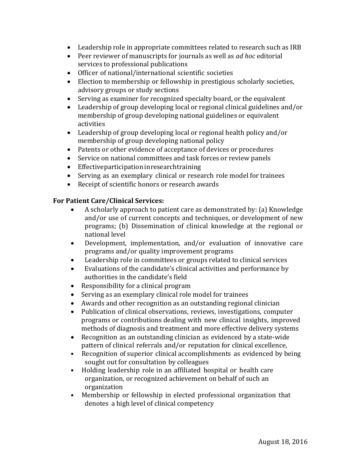- Leadership role in appropriate committees related to research such as IRB
- Peer reviewer of manuscripts for journals as well as *ad hoc* editorial services to professional publications
- Officer of national/international scientific societies
- Election to membership or fellowship in prestigious scholarly societies, advisory groups or study sections
- $\bullet$  Serving as examiner for recognized specialty board, or the equivalent
- Leadership of group developing local or regional clinical guidelines and/or membership of group developing national guidelines or equivalent activities
- Leadership of group developing local or regional health policy and/or membership of group developing national policy
- Patents or other evidence of acceptance of devices or procedures
- Service on national committees and task forces or review panels
- $\bullet$  Effective participation in research training
- Serving as an exemplary clinical or research role model for trainees
- Receipt of scientific honors or research awards

# **For Patient Care/Clinical Services:**

- A scholarly approach to patient care as demonstrated by: (a) Knowledge and/or use of current concepts and techniques, or development of new programs; (b) Dissemination of clinical knowledge at the regional or national level
- Development, implementation, and/or evaluation of innovative care programs and/or quality improvement programs
- Leadership role in committees or groups related to clinical services
- Evaluations of the candidate's clinical activities and performance by authorities in the candidate's field
- Responsibility for a clinical program
- Serving as an exemplary clinical role model for trainees
- $\bullet$  Awards and other recognition as an outstanding regional clinician
- Publication of clinical observations, reviews, investigations, computer programs or contributions dealing with new clinical insights, improved methods of diagnosis and treatment and more effective delivery systems
- Recognition as an outstanding clinician as evidenced by a state-wide pattern of clinical referrals and/or reputation for clinical excellence,
- Recognition of superior clinical accomplishments as evidenced by being sought out for consultation by colleagues
- Holding leadership role in an affiliated hospital or health care organization, or recognized achievement on behalf of such an organization
- Membership or fellowship in elected professional organization that denotes a high level of clinical competency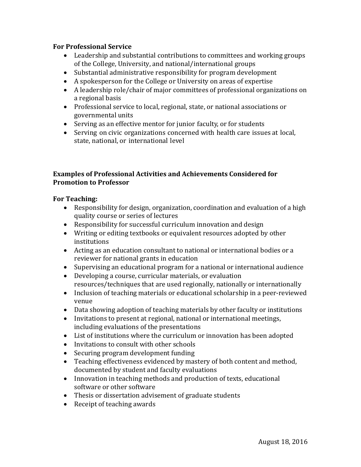## **For Professional Service**

- Leadership and substantial contributions to committees and working groups of the College, University, and national/international groups
- Substantial administrative responsibility for program development
- A spokesperson for the College or University on areas of expertise
- A leadership role/chair of major committees of professional organizations on a regional basis
- Professional service to local, regional, state, or national associations or governmental units
- Serving as an effective mentor for junior faculty, or for students
- Serving on civic organizations concerned with health care issues at local, state, national, or international level

## **Examples of Professional Activities and Achievements Considered for Promotion** to Professor

## **For Teaching:**

- Responsibility for design, organization, coordination and evaluation of a high quality course or series of lectures
- Responsibility for successful curriculum innovation and design
- Writing or editing textbooks or equivalent resources adopted by other institutions
- Acting as an education consultant to national or international bodies or a reviewer for national grants in education
- Supervising an educational program for a national or international audience
- Developing a course, curricular materials, or evaluation resources/techniques that are used regionally, nationally or internationally
- Inclusion of teaching materials or educational scholarship in a peer-reviewed venue
- Data showing adoption of teaching materials by other faculty or institutions
- Invitations to present at regional, national or international meetings, including evaluations of the presentations
- List of institutions where the curriculum or innovation has been adopted
- Invitations to consult with other schools
- Securing program development funding
- Teaching effectiveness evidenced by mastery of both content and method, documented by student and faculty evaluations
- Innovation in teaching methods and production of texts, educational software or other software
- Thesis or dissertation advisement of graduate students
- $\bullet$  Receipt of teaching awards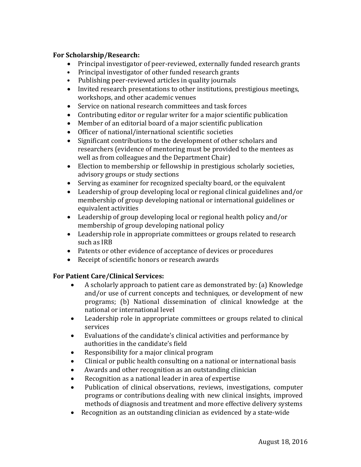## **For Scholarship/Research:**

- Principal investigator of peer-reviewed, externally funded research grants
- Principal investigator of other funded research grants
- Publishing peer-reviewed articles in quality journals
- Invited research presentations to other institutions, prestigious meetings, workshops, and other academic venues
- Service on national research committees and task forces
- Contributing editor or regular writer for a major scientific publication
- $\bullet$  Member of an editorial board of a major scientific publication
- Officer of national/international scientific societies
- Significant contributions to the development of other scholars and researchers (evidence of mentoring must be provided to the mentees as well as from colleagues and the Department Chair)
- Election to membership or fellowship in prestigious scholarly societies, advisory groups or study sections
- $\bullet$  Serving as examiner for recognized specialty board, or the equivalent
- Leadership of group developing local or regional clinical guidelines and/or membership of group developing national or international guidelines or equivalent activities
- Leadership of group developing local or regional health policy and/or membership of group developing national policy
- Leadership role in appropriate committees or groups related to research such as IRB
- Patents or other evidence of acceptance of devices or procedures
- Receipt of scientific honors or research awards

# **For Patient Care/Clinical Services:**

- A scholarly approach to patient care as demonstrated by: (a) Knowledge and/or use of current concepts and techniques, or development of new programs; (b) National dissemination of clinical knowledge at the national or international level
- Leadership role in appropriate committees or groups related to clinical services
- Evaluations of the candidate's clinical activities and performance by authorities in the candidate's field
- Responsibility for a major clinical program
- Clinical or public health consulting on a national or international basis
- Awards and other recognition as an outstanding clinician
- Recognition as a national leader in area of expertise
- Publication of clinical observations, reviews, investigations, computer programs or contributions dealing with new clinical insights, improved methods of diagnosis and treatment and more effective delivery systems
- Recognition as an outstanding clinician as evidenced by a state-wide